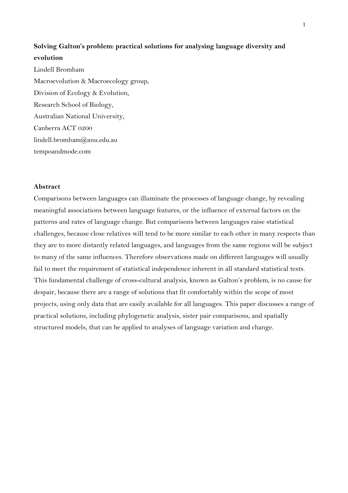# **Solving Galton's problem: practical solutions for analysing language diversity and evolution**

Lindell Bromham Macroevolution & Macroecology group, Division of Ecology & Evolution, Research School of Biology, Australian National University, Canberra ACT 0200 lindell.bromham@anu.edu.au tempoandmode.com

## **Abstract**

Comparisons between languages can illuminate the processes of language change, by revealing meaningful associations between language features, or the influence of external factors on the patterns and rates of language change. But comparisons between languages raise statistical challenges, because close relatives will tend to be more similar to each other in many respects than they are to more distantly related languages, and languages from the same regions will be subject to many of the same influences. Therefore observations made on different languages will usually fail to meet the requirement of statistical independence inherent in all standard statistical tests. This fundamental challenge of cross-cultural analysis, known as Galton's problem, is no cause for despair, because there are a range of solutions that fit comfortably within the scope of most projects, using only data that are easily available for all languages. This paper discusses a range of practical solutions, including phylogenetic analysis, sister pair comparisons, and spatially structured models, that can be applied to analyses of language variation and change.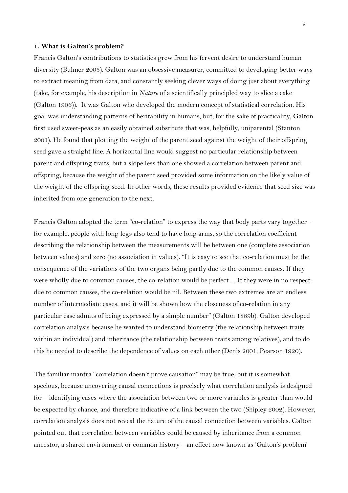#### **1. What is Galton's problem?**

Francis Galton's contributions to statistics grew from his fervent desire to understand human diversity (Bulmer 2003). Galton was an obsessive measurer, committed to developing better ways to extract meaning from data, and constantly seeking clever ways of doing just about everything (take, for example, his description in *Nature* of a scientifically principled way to slice a cake (Galton 1906)). It was Galton who developed the modern concept of statistical correlation. His goal was understanding patterns of heritability in humans, but, for the sake of practicality, Galton first used sweet-peas as an easily obtained substitute that was, helpfully, uniparental (Stanton 2001). He found that plotting the weight of the parent seed against the weight of their offspring seed gave a straight line. A horizontal line would suggest no particular relationship between parent and offspring traits, but a slope less than one showed a correlation between parent and offspring, because the weight of the parent seed provided some information on the likely value of the weight of the offspring seed. In other words, these results provided evidence that seed size was inherited from one generation to the next.

Francis Galton adopted the term "co-relation" to express the way that body parts vary together – for example, people with long legs also tend to have long arms, so the correlation coefficient describing the relationship between the measurements will be between one (complete association between values) and zero (no association in values). "It is easy to see that co-relation must be the consequence of the variations of the two organs being partly due to the common causes. If they were wholly due to common causes, the co-relation would be perfect… If they were in no respect due to common causes, the co-relation would be nil. Between these two extremes are an endless number of intermediate cases, and it will be shown how the closeness of co-relation in any particular case admits of being expressed by a simple number" (Galton 1889b). Galton developed correlation analysis because he wanted to understand biometry (the relationship between traits within an individual) and inheritance (the relationship between traits among relatives), and to do this he needed to describe the dependence of values on each other (Denis 2001; Pearson 1920).

The familiar mantra "correlation doesn't prove causation" may be true, but it is somewhat specious, because uncovering causal connections is precisely what correlation analysis is designed for – identifying cases where the association between two or more variables is greater than would be expected by chance, and therefore indicative of a link between the two (Shipley 2002). However, correlation analysis does not reveal the nature of the causal connection between variables. Galton pointed out that correlation between variables could be caused by inheritance from a common ancestor, a shared environment or common history – an effect now known as 'Galton's problem'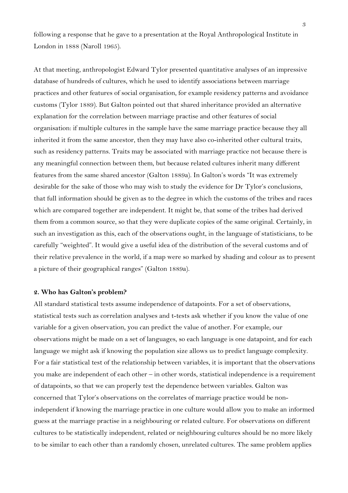following a response that he gave to a presentation at the Royal Anthropological Institute in London in 1888 (Naroll 1965).

At that meeting, anthropologist Edward Tylor presented quantitative analyses of an impressive database of hundreds of cultures, which he used to identify associations between marriage practices and other features of social organisation, for example residency patterns and avoidance customs (Tylor 1889). But Galton pointed out that shared inheritance provided an alternative explanation for the correlation between marriage practise and other features of social organisation: if multiple cultures in the sample have the same marriage practice because they all inherited it from the same ancestor, then they may have also co-inherited other cultural traits, such as residency patterns. Traits may be associated with marriage practice not because there is any meaningful connection between them, but because related cultures inherit many different features from the same shared ancestor (Galton 1889a). In Galton's words "It was extremely desirable for the sake of those who may wish to study the evidence for Dr Tylor's conclusions, that full information should be given as to the degree in which the customs of the tribes and races which are compared together are independent. It might be, that some of the tribes had derived them from a common source, so that they were duplicate copies of the same original. Certainly, in such an investigation as this, each of the observations ought, in the language of statisticians, to be carefully "weighted". It would give a useful idea of the distribution of the several customs and of their relative prevalence in the world, if a map were so marked by shading and colour as to present a picture of their geographical ranges" (Galton 1889a).

#### **2. Who has Galton's problem?**

All standard statistical tests assume independence of datapoints. For a set of observations, statistical tests such as correlation analyses and t-tests ask whether if you know the value of one variable for a given observation, you can predict the value of another. For example, our observations might be made on a set of languages, so each language is one datapoint, and for each language we might ask if knowing the population size allows us to predict language complexity. For a fair statistical test of the relationship between variables, it is important that the observations you make are independent of each other – in other words, statistical independence is a requirement of datapoints, so that we can properly test the dependence between variables. Galton was concerned that Tylor's observations on the correlates of marriage practice would be nonindependent if knowing the marriage practice in one culture would allow you to make an informed guess at the marriage practise in a neighbouring or related culture. For observations on different cultures to be statistically independent, related or neighbouring cultures should be no more likely to be similar to each other than a randomly chosen, unrelated cultures. The same problem applies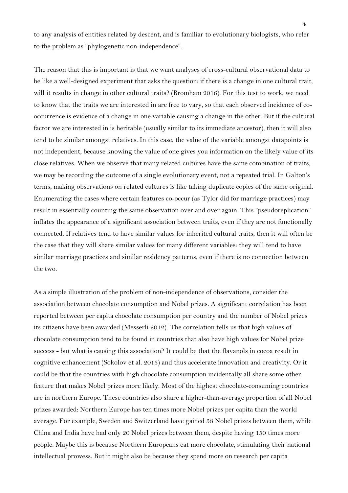to any analysis of entities related by descent, and is familiar to evolutionary biologists, who refer to the problem as "phylogenetic non-independence".

The reason that this is important is that we want analyses of cross-cultural observational data to be like a well-designed experiment that asks the question: if there is a change in one cultural trait, will it results in change in other cultural traits? (Bromham 2016). For this test to work, we need to know that the traits we are interested in are free to vary, so that each observed incidence of cooccurrence is evidence of a change in one variable causing a change in the other. But if the cultural factor we are interested in is heritable (usually similar to its immediate ancestor), then it will also tend to be similar amongst relatives. In this case, the value of the variable amongst datapoints is not independent, because knowing the value of one gives you information on the likely value of its close relatives. When we observe that many related cultures have the same combination of traits, we may be recording the outcome of a single evolutionary event, not a repeated trial. In Galton's terms, making observations on related cultures is like taking duplicate copies of the same original. Enumerating the cases where certain features co-occur (as Tylor did for marriage practices) may result in essentially counting the same observation over and over again. This "pseudoreplication" inflates the appearance of a significant association between traits, even if they are not functionally connected. If relatives tend to have similar values for inherited cultural traits, then it will often be the case that they will share similar values for many different variables: they will tend to have similar marriage practices and similar residency patterns, even if there is no connection between the two.

As a simple illustration of the problem of non-independence of observations, consider the association between chocolate consumption and Nobel prizes. A significant correlation has been reported between per capita chocolate consumption per country and the number of Nobel prizes its citizens have been awarded (Messerli 2012). The correlation tells us that high values of chocolate consumption tend to be found in countries that also have high values for Nobel prize success - but what is causing this association? It could be that the flavanols in cocoa result in cognitive enhancement (Sokolov et al. 2013) and thus accelerate innovation and creativity. Or it could be that the countries with high chocolate consumption incidentally all share some other feature that makes Nobel prizes more likely. Most of the highest chocolate-consuming countries are in northern Europe. These countries also share a higher-than-average proportion of all Nobel prizes awarded: Northern Europe has ten times more Nobel prizes per capita than the world average. For example, Sweden and Switzerland have gained 58 Nobel prizes between them, while China and India have had only 20 Nobel prizes between them, despite having 150 times more people. Maybe this is because Northern Europeans eat more chocolate, stimulating their national intellectual prowess. But it might also be because they spend more on research per capita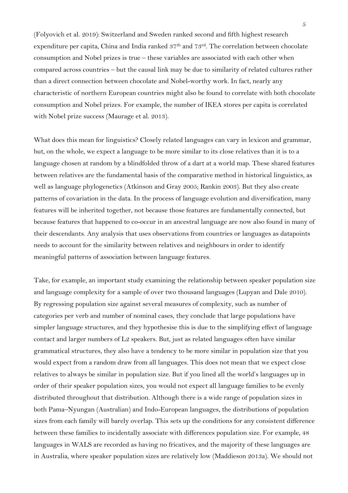(Folyovich et al. 2019): Switzerland and Sweden ranked second and fifth highest research expenditure per capita, China and India ranked 37<sup>th</sup> and 73<sup>rd</sup>. The correlation between chocolate consumption and Nobel prizes is true – these variables are associated with each other when compared across countries – but the causal link may be due to similarity of related cultures rather than a direct connection between chocolate and Nobel-worthy work. In fact, nearly any characteristic of northern European countries might also be found to correlate with both chocolate consumption and Nobel prizes. For example, the number of IKEA stores per capita is correlated with Nobel prize success (Maurage et al. 2013).

What does this mean for linguistics? Closely related languages can vary in lexicon and grammar, but, on the whole, we expect a language to be more similar to its close relatives than it is to a language chosen at random by a blindfolded throw of a dart at a world map. These shared features between relatives are the fundamental basis of the comparative method in historical linguistics, as well as language phylogenetics (Atkinson and Gray 2005; Rankin 2003). But they also create patterns of covariation in the data. In the process of language evolution and diversification, many features will be inherited together, not because those features are fundamentally connected, but because features that happened to co-occur in an ancestral language are now also found in many of their descendants. Any analysis that uses observations from countries or languages as datapoints needs to account for the similarity between relatives and neighbours in order to identify meaningful patterns of association between language features.

Take, for example, an important study examining the relationship between speaker population size and language complexity for a sample of over two thousand languages (Lupyan and Dale 2010). By regressing population size against several measures of complexity, such as number of categories per verb and number of nominal cases, they conclude that large populations have simpler language structures, and they hypothesise this is due to the simplifying effect of language contact and larger numbers of L2 speakers. But, just as related languages often have similar grammatical structures, they also have a tendency to be more similar in population size that you would expect from a random draw from all languages. This does not mean that we expect close relatives to always be similar in population size. But if you lined all the world's languages up in order of their speaker population sizes, you would not expect all language families to be evenly distributed throughout that distribution. Although there is a wide range of population sizes in both Pama–Nyungan (Australian) and Indo-European languages, the distributions of population sizes from each family will barely overlap. This sets up the conditions for any consistent difference between these families to incidentally associate with differences population size. For example, 48 languages in WALS are recorded as having no fricatives, and the majority of these languages are in Australia, where speaker population sizes are relatively low (Maddieson 2013a). We should not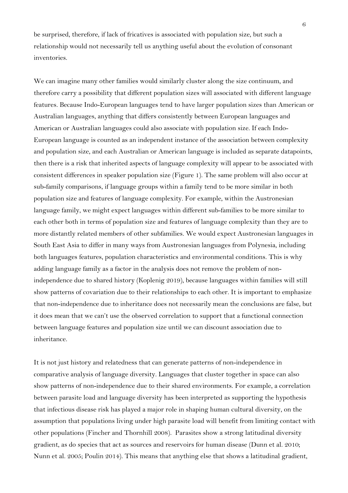be surprised, therefore, if lack of fricatives is associated with population size, but such a relationship would not necessarily tell us anything useful about the evolution of consonant inventories.

We can imagine many other families would similarly cluster along the size continuum, and therefore carry a possibility that different population sizes will associated with different language features. Because Indo-European languages tend to have larger population sizes than American or Australian languages, anything that differs consistently between European languages and American or Australian languages could also associate with population size. If each Indo-European language is counted as an independent instance of the association between complexity and population size, and each Australian or American language is included as separate datapoints, then there is a risk that inherited aspects of language complexity will appear to be associated with consistent differences in speaker population size (Figure 1). The same problem will also occur at sub-family comparisons, if language groups within a family tend to be more similar in both population size and features of language complexity. For example, within the Austronesian language family, we might expect languages within different sub-families to be more similar to each other both in terms of population size and features of language complexity than they are to more distantly related members of other subfamilies. We would expect Austronesian languages in South East Asia to differ in many ways from Austronesian languages from Polynesia, including both languages features, population characteristics and environmental conditions. This is why adding language family as a factor in the analysis does not remove the problem of nonindependence due to shared history (Koplenig 2019), because languages within families will still show patterns of covariation due to their relationships to each other. It is important to emphasize that non-independence due to inheritance does not necessarily mean the conclusions are false, but it does mean that we can't use the observed correlation to support that a functional connection between language features and population size until we can discount association due to inheritance.

It is not just history and relatedness that can generate patterns of non-independence in comparative analysis of language diversity. Languages that cluster together in space can also show patterns of non-independence due to their shared environments. For example, a correlation between parasite load and language diversity has been interpreted as supporting the hypothesis that infectious disease risk has played a major role in shaping human cultural diversity, on the assumption that populations living under high parasite load will benefit from limiting contact with other populations (Fincher and Thornhill 2008). Parasites show a strong latitudinal diversity gradient, as do species that act as sources and reservoirs for human disease (Dunn et al. 2010; Nunn et al. 2005; Poulin 2014). This means that anything else that shows a latitudinal gradient,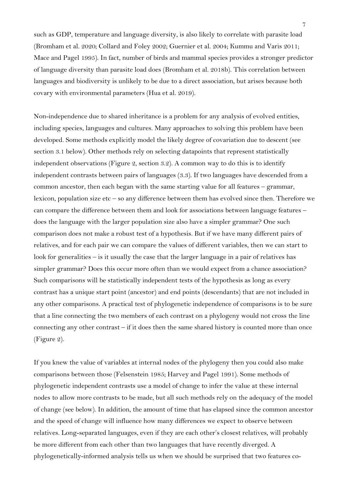such as GDP, temperature and language diversity, is also likely to correlate with parasite load (Bromham et al. 2020; Collard and Foley 2002; Guernier et al. 2004; Kummu and Varis 2011; Mace and Pagel 1995). In fact, number of birds and mammal species provides a stronger predictor of language diversity than parasite load does (Bromham et al. 2018b). This correlation between languages and biodiversity is unlikely to be due to a direct association, but arises because both covary with environmental parameters (Hua et al. 2019).

Non-independence due to shared inheritance is a problem for any analysis of evolved entities, including species, languages and cultures. Many approaches to solving this problem have been developed. Some methods explicitly model the likely degree of covariation due to descent (see section 3.1 below). Other methods rely on selecting datapoints that represent statistically independent observations (Figure 2, section 3.2). A common way to do this is to identify independent contrasts between pairs of languages (3.3). If two languages have descended from a common ancestor, then each began with the same starting value for all features – grammar, lexicon, population size etc – so any difference between them has evolved since then. Therefore we can compare the difference between them and look for associations between language features – does the language with the larger population size also have a simpler grammar? One such comparison does not make a robust test of a hypothesis. But if we have many different pairs of relatives, and for each pair we can compare the values of different variables, then we can start to look for generalities – is it usually the case that the larger language in a pair of relatives has simpler grammar? Does this occur more often than we would expect from a chance association? Such comparisons will be statistically independent tests of the hypothesis as long as every contrast has a unique start point (ancestor) and end points (descendants) that are not included in any other comparisons. A practical test of phylogenetic independence of comparisons is to be sure that a line connecting the two members of each contrast on a phylogeny would not cross the line connecting any other contrast – if it does then the same shared history is counted more than once (Figure 2).

If you knew the value of variables at internal nodes of the phylogeny then you could also make comparisons between those (Felsenstein 1985; Harvey and Pagel 1991). Some methods of phylogenetic independent contrasts use a model of change to infer the value at these internal nodes to allow more contrasts to be made, but all such methods rely on the adequacy of the model of change (see below). In addition, the amount of time that has elapsed since the common ancestor and the speed of change will influence how many differences we expect to observe between relatives. Long-separated languages, even if they are each other's closest relatives, will probably be more different from each other than two languages that have recently diverged. A phylogenetically-informed analysis tells us when we should be surprised that two features co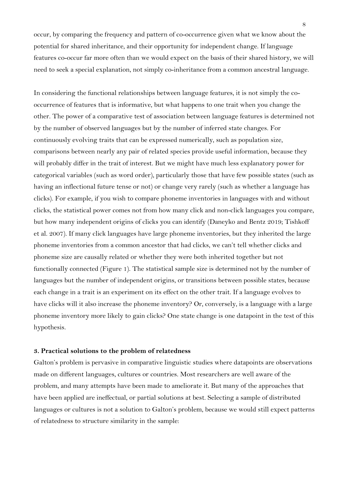occur, by comparing the frequency and pattern of co-occurrence given what we know about the potential for shared inheritance, and their opportunity for independent change. If language features co-occur far more often than we would expect on the basis of their shared history, we will need to seek a special explanation, not simply co-inheritance from a common ancestral language.

In considering the functional relationships between language features, it is not simply the cooccurrence of features that is informative, but what happens to one trait when you change the other. The power of a comparative test of association between language features is determined not by the number of observed languages but by the number of inferred state changes. For continuously evolving traits that can be expressed numerically, such as population size, comparisons between nearly any pair of related species provide useful information, because they will probably differ in the trait of interest. But we might have much less explanatory power for categorical variables (such as word order), particularly those that have few possible states (such as having an inflectional future tense or not) or change very rarely (such as whether a language has clicks). For example, if you wish to compare phoneme inventories in languages with and without clicks, the statistical power comes not from how many click and non-click languages you compare, but how many independent origins of clicks you can identify (Daneyko and Bentz 2019; Tishkoff et al. 2007). If many click languages have large phoneme inventories, but they inherited the large phoneme inventories from a common ancestor that had clicks, we can't tell whether clicks and phoneme size are causally related or whether they were both inherited together but not functionally connected (Figure 1). The statistical sample size is determined not by the number of languages but the number of independent origins, or transitions between possible states, because each change in a trait is an experiment on its effect on the other trait. If a language evolves to have clicks will it also increase the phoneme inventory? Or, conversely, is a language with a large phoneme inventory more likely to gain clicks? One state change is one datapoint in the test of this hypothesis.

#### **3. Practical solutions to the problem of relatedness**

Galton's problem is pervasive in comparative linguistic studies where datapoints are observations made on different languages, cultures or countries. Most researchers are well aware of the problem, and many attempts have been made to ameliorate it. But many of the approaches that have been applied are ineffectual, or partial solutions at best. Selecting a sample of distributed languages or cultures is not a solution to Galton's problem, because we would still expect patterns of relatedness to structure similarity in the sample: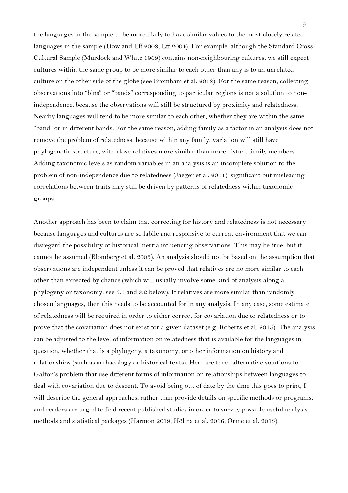the languages in the sample to be more likely to have similar values to the most closely related languages in the sample (Dow and Eff 2008; Eff 2004). For example, although the Standard Cross-Cultural Sample (Murdock and White 1969) contains non-neighbouring cultures, we still expect cultures within the same group to be more similar to each other than any is to an unrelated culture on the other side of the globe (see Bromham et al. 2018). For the same reason, collecting observations into "bins" or "bands" corresponding to particular regions is not a solution to nonindependence, because the observations will still be structured by proximity and relatedness. Nearby languages will tend to be more similar to each other, whether they are within the same "band" or in different bands. For the same reason, adding family as a factor in an analysis does not remove the problem of relatedness, because within any family, variation will still have phylogenetic structure, with close relatives more similar than more distant family members. Adding taxonomic levels as random variables in an analysis is an incomplete solution to the problem of non-independence due to relatedness (Jaeger et al. 2011): significant but misleading correlations between traits may still be driven by patterns of relatedness within taxonomic groups.

Another approach has been to claim that correcting for history and relatedness is not necessary because languages and cultures are so labile and responsive to current environment that we can disregard the possibility of historical inertia influencing observations. This may be true, but it cannot be assumed (Blomberg et al. 2003). An analysis should not be based on the assumption that observations are independent unless it can be proved that relatives are no more similar to each other than expected by chance (which will usually involve some kind of analysis along a phylogeny or taxonomy: see 3.1 and 3.2 below). If relatives are more similar than randomly chosen languages, then this needs to be accounted for in any analysis. In any case, some estimate of relatedness will be required in order to either correct for covariation due to relatedness or to prove that the covariation does not exist for a given dataset (e.g. Roberts et al. 2015). The analysis can be adjusted to the level of information on relatedness that is available for the languages in question, whether that is a phylogeny, a taxonomy, or other information on history and relationships (such as archaeology or historical texts). Here are three alternative solutions to Galton's problem that use different forms of information on relationships between languages to deal with covariation due to descent. To avoid being out of date by the time this goes to print, I will describe the general approaches, rather than provide details on specific methods or programs, and readers are urged to find recent published studies in order to survey possible useful analysis methods and statistical packages (Harmon 2019; Höhna et al. 2016; Orme et al. 2013).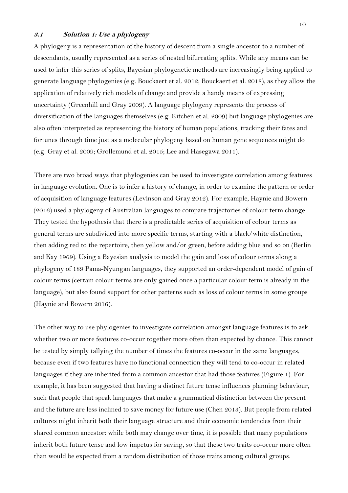## **3.1 Solution 1: Use a phylogeny**

A phylogeny is a representation of the history of descent from a single ancestor to a number of descendants, usually represented as a series of nested bifurcating splits. While any means can be used to infer this series of splits, Bayesian phylogenetic methods are increasingly being applied to generate language phylogenies (e.g. Bouckaert et al. 2012; Bouckaert et al. 2018), as they allow the application of relatively rich models of change and provide a handy means of expressing uncertainty (Greenhill and Gray 2009). A language phylogeny represents the process of diversification of the languages themselves (e.g. Kitchen et al. 2009) but language phylogenies are also often interpreted as representing the history of human populations, tracking their fates and fortunes through time just as a molecular phylogeny based on human gene sequences might do (e.g. Gray et al. 2009; Grollemund et al. 2015; Lee and Hasegawa 2011).

There are two broad ways that phylogenies can be used to investigate correlation among features in language evolution. One is to infer a history of change, in order to examine the pattern or order of acquisition of language features (Levinson and Gray 2012). For example, Haynie and Bowern (2016) used a phylogeny of Australian languages to compare trajectories of colour term change. They tested the hypothesis that there is a predictable series of acquisition of colour terms as general terms are subdivided into more specific terms, starting with a black/white distinction, then adding red to the repertoire, then yellow and/or green, before adding blue and so on (Berlin and Kay 1969). Using a Bayesian analysis to model the gain and loss of colour terms along a phylogeny of 189 Pama-Nyungan languages, they supported an order-dependent model of gain of colour terms (certain colour terms are only gained once a particular colour term is already in the language), but also found support for other patterns such as loss of colour terms in some groups (Haynie and Bowern 2016).

The other way to use phylogenies to investigate correlation amongst language features is to ask whether two or more features co-occur together more often than expected by chance. This cannot be tested by simply tallying the number of times the features co-occur in the same languages, because even if two features have no functional connection they will tend to co-occur in related languages if they are inherited from a common ancestor that had those features (Figure 1). For example, it has been suggested that having a distinct future tense influences planning behaviour, such that people that speak languages that make a grammatical distinction between the present and the future are less inclined to save money for future use (Chen 2013). But people from related cultures might inherit both their language structure and their economic tendencies from their shared common ancestor: while both may change over time, it is possible that many populations inherit both future tense and low impetus for saving, so that these two traits co-occur more often than would be expected from a random distribution of those traits among cultural groups.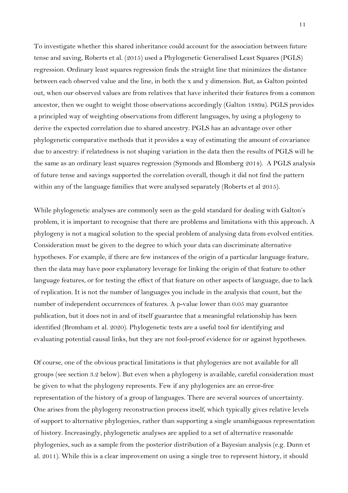To investigate whether this shared inheritance could account for the association between future tense and saving, Roberts et al. (2015) used a Phylogenetic Generalised Least Squares (PGLS) regression. Ordinary least squares regression finds the straight line that minimizes the distance between each observed value and the line, in both the x and y dimension. But, as Galton pointed out, when our observed values are from relatives that have inherited their features from a common ancestor, then we ought to weight those observations accordingly (Galton 1889a). PGLS provides a principled way of weighting observations from different languages, by using a phylogeny to derive the expected correlation due to shared ancestry. PGLS has an advantage over other phylogenetic comparative methods that it provides a way of estimating the amount of covariance due to ancestry: if relatedness is not shaping variation in the data then the results of PGLS will be the same as an ordinary least squares regression (Symonds and Blomberg 2014). A PGLS analysis of future tense and savings supported the correlation overall, though it did not find the pattern within any of the language families that were analysed separately (Roberts et al 2015).

While phylogenetic analyses are commonly seen as the gold standard for dealing with Galton's problem, it is important to recognise that there are problems and limitations with this approach. A phylogeny is not a magical solution to the special problem of analysing data from evolved entities. Consideration must be given to the degree to which your data can discriminate alternative hypotheses. For example, if there are few instances of the origin of a particular language feature, then the data may have poor explanatory leverage for linking the origin of that feature to other language features, or for testing the effect of that feature on other aspects of language, due to lack of replication. It is not the number of languages you include in the analysis that count, but the number of independent occurrences of features. A p-value lower than 0.05 may guarantee publication, but it does not in and of itself guarantee that a meaningful relationship has been identified (Bromham et al. 2020). Phylogenetic tests are a useful tool for identifying and evaluating potential causal links, but they are not fool-proof evidence for or against hypotheses.

Of course, one of the obvious practical limitations is that phylogenies are not available for all groups (see section 3.2 below). But even when a phylogeny is available, careful consideration must be given to what the phylogeny represents. Few if any phylogenies are an error-free representation of the history of a group of languages. There are several sources of uncertainty. One arises from the phylogeny reconstruction process itself, which typically gives relative levels of support to alternative phylogenies, rather than supporting a single unambiguous representation of history. Increasingly, phylogenetic analyses are applied to a set of alternative reasonable phylogenies, such as a sample from the posterior distribution of a Bayesian analysis (e.g. Dunn et al. 2011). While this is a clear improvement on using a single tree to represent history, it should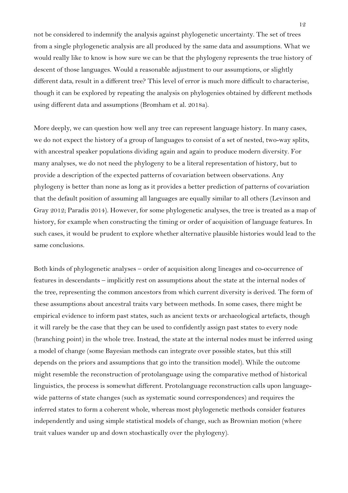not be considered to indemnify the analysis against phylogenetic uncertainty. The set of trees from a single phylogenetic analysis are all produced by the same data and assumptions. What we would really like to know is how sure we can be that the phylogeny represents the true history of descent of those languages. Would a reasonable adjustment to our assumptions, or slightly different data, result in a different tree? This level of error is much more difficult to characterise, though it can be explored by repeating the analysis on phylogenies obtained by different methods using different data and assumptions (Bromham et al. 2018a).

More deeply, we can question how well any tree can represent language history. In many cases, we do not expect the history of a group of languages to consist of a set of nested, two-way splits, with ancestral speaker populations dividing again and again to produce modern diversity. For many analyses, we do not need the phylogeny to be a literal representation of history, but to provide a description of the expected patterns of covariation between observations. Any phylogeny is better than none as long as it provides a better prediction of patterns of covariation that the default position of assuming all languages are equally similar to all others (Levinson and Gray 2012; Paradis 2014). However, for some phylogenetic analyses, the tree is treated as a map of history, for example when constructing the timing or order of acquisition of language features. In such cases, it would be prudent to explore whether alternative plausible histories would lead to the same conclusions.

Both kinds of phylogenetic analyses – order of acquisition along lineages and co-occurrence of features in descendants – implicitly rest on assumptions about the state at the internal nodes of the tree, representing the common ancestors from which current diversity is derived. The form of these assumptions about ancestral traits vary between methods. In some cases, there might be empirical evidence to inform past states, such as ancient texts or archaeological artefacts, though it will rarely be the case that they can be used to confidently assign past states to every node (branching point) in the whole tree. Instead, the state at the internal nodes must be inferred using a model of change (some Bayesian methods can integrate over possible states, but this still depends on the priors and assumptions that go into the transition model). While the outcome might resemble the reconstruction of protolanguage using the comparative method of historical linguistics, the process is somewhat different. Protolanguage reconstruction calls upon languagewide patterns of state changes (such as systematic sound correspondences) and requires the inferred states to form a coherent whole, whereas most phylogenetic methods consider features independently and using simple statistical models of change, such as Brownian motion (where trait values wander up and down stochastically over the phylogeny).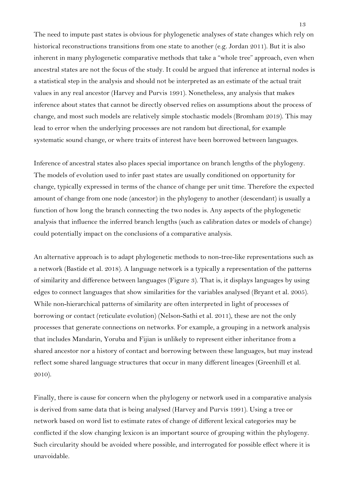The need to impute past states is obvious for phylogenetic analyses of state changes which rely on historical reconstructions transitions from one state to another (e.g. Jordan 2011). But it is also inherent in many phylogenetic comparative methods that take a "whole tree" approach, even when ancestral states are not the focus of the study. It could be argued that inference at internal nodes is a statistical step in the analysis and should not be interpreted as an estimate of the actual trait values in any real ancestor (Harvey and Purvis 1991). Nonetheless, any analysis that makes inference about states that cannot be directly observed relies on assumptions about the process of change, and most such models are relatively simple stochastic models (Bromham 2019). This may lead to error when the underlying processes are not random but directional, for example systematic sound change, or where traits of interest have been borrowed between languages.

Inference of ancestral states also places special importance on branch lengths of the phylogeny. The models of evolution used to infer past states are usually conditioned on opportunity for change, typically expressed in terms of the chance of change per unit time. Therefore the expected amount of change from one node (ancestor) in the phylogeny to another (descendant) is usually a function of how long the branch connecting the two nodes is. Any aspects of the phylogenetic analysis that influence the inferred branch lengths (such as calibration dates or models of change) could potentially impact on the conclusions of a comparative analysis.

An alternative approach is to adapt phylogenetic methods to non-tree-like representations such as a network (Bastide et al. 2018). A language network is a typically a representation of the patterns of similarity and difference between languages (Figure 3). That is, it displays languages by using edges to connect languages that show similarities for the variables analysed (Bryant et al. 2005). While non-hierarchical patterns of similarity are often interpreted in light of processes of borrowing or contact (reticulate evolution) (Nelson-Sathi et al. 2011), these are not the only processes that generate connections on networks. For example, a grouping in a network analysis that includes Mandarin, Yoruba and Fijian is unlikely to represent either inheritance from a shared ancestor nor a history of contact and borrowing between these languages, but may instead reflect some shared language structures that occur in many different lineages (Greenhill et al. 2010).

Finally, there is cause for concern when the phylogeny or network used in a comparative analysis is derived from same data that is being analysed (Harvey and Purvis 1991). Using a tree or network based on word list to estimate rates of change of different lexical categories may be conflicted if the slow changing lexicon is an important source of grouping within the phylogeny. Such circularity should be avoided where possible, and interrogated for possible effect where it is unavoidable.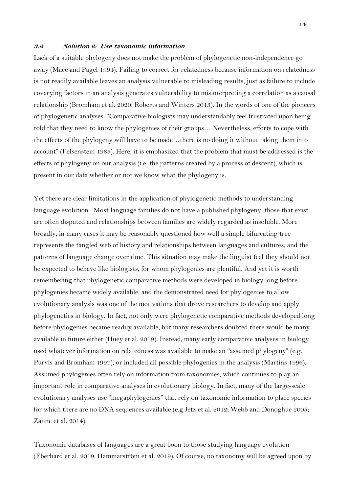#### **3.2 Solution 2: Use taxonomic information**

Lack of a suitable phylogeny does not make the problem of phylogenetic non-independence go away (Mace and Pagel 1994). Failing to correct for relatedness because information on relatedness is not readily available leaves an analysis vulnerable to misleading results, just as failure to include covarying factors in an analysis generates vulnerability to misinterpreting a correlation as a causal relationship (Bromham et al. 2020; Roberts and Winters 2013). In the words of one of the pioneers of phylogenetic analyses: "Comparative biologists may understandably feel frustrated upon being told that they need to know the phylogenies of their groups… Nevertheless, efforts to cope with the effects of the phylogeny will have to be made…there is no doing it without taking them into account" (Felsenstein 1985). Here, it is emphasized that the problem that must be addressed is the effects of phylogeny on our analysis (i.e. the patterns created by a process of descent), which is present in our data whether or not we know what the phylogeny is.

Yet there are clear limitations in the application of phylogenetic methods to understanding language evolution. Most language families do not have a published phylogeny, those that exist are often disputed and relationships between families are widely regarded as insoluble. More broadly, in many cases it may be reasonably questioned how well a simple bifurcating tree represents the tangled web of history and relationships between languages and cultures, and the patterns of language change over time. This situation may make the linguist feel they should not be expected to behave like biologists, for whom phylogenies are plentiful. And yet it is worth remembering that phylogenetic comparative methods were developed in biology long before phylogenies became widely available, and the demonstrated need for phylogenies to allow evolutionary analysis was one of the motivations that drove researchers to develop and apply phylogenetics in biology. In fact, not only were phylogenetic comparative methods developed long before phylogenies became readily available, but many researchers doubted there would be many available in future either (Huey et al. 2019). Instead, many early comparative analyses in biology used whatever information on relatedness was available to make an "assumed phylogeny" (e.g. Purvis and Bromham 1997), or included all possible phylogenies in the analysis (Martins 1996). Assumed phylogenies often rely on information from taxonomies, which continues to play an important role in comparative analyses in evolutionary biology. In fact, many of the large-scale evolutionary analyses use "megaphylogenies" that rely on taxonomic information to place species for which there are no DNA sequences available (e.g.Jetz et al. 2012; Webb and Donoghue 2005; Zanne et al. 2014).

Taxonomic databases of languages are a great boon to those studying language evolution (Eberhard et al. 2019; Hammarström et al. 2019). Of course, no taxonomy will be agreed upon by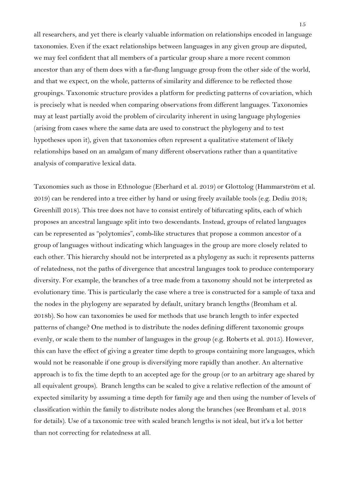all researchers, and yet there is clearly valuable information on relationships encoded in language taxonomies. Even if the exact relationships between languages in any given group are disputed, we may feel confident that all members of a particular group share a more recent common ancestor than any of them does with a far-flung language group from the other side of the world, and that we expect, on the whole, patterns of similarity and difference to be reflected those groupings. Taxonomic structure provides a platform for predicting patterns of covariation, which is precisely what is needed when comparing observations from different languages. Taxonomies may at least partially avoid the problem of circularity inherent in using language phylogenies (arising from cases where the same data are used to construct the phylogeny and to test hypotheses upon it), given that taxonomies often represent a qualitative statement of likely relationships based on an amalgam of many different observations rather than a quantitative analysis of comparative lexical data.

Taxonomies such as those in Ethnologue (Eberhard et al. 2019) or Glottolog (Hammarström et al. 2019) can be rendered into a tree either by hand or using freely available tools (e.g. Dediu 2018; Greenhill 2018). This tree does not have to consist entirely of bifurcating splits, each of which proposes an ancestral language split into two descendants. Instead, groups of related languages can be represented as "polytomies", comb-like structures that propose a common ancestor of a group of languages without indicating which languages in the group are more closely related to each other. This hierarchy should not be interpreted as a phylogeny as such: it represents patterns of relatedness, not the paths of divergence that ancestral languages took to produce contemporary diversity. For example, the branches of a tree made from a taxonomy should not be interpreted as evolutionary time. This is particularly the case where a tree is constructed for a sample of taxa and the nodes in the phylogeny are separated by default, unitary branch lengths (Bromham et al. 2018b). So how can taxonomies be used for methods that use branch length to infer expected patterns of change? One method is to distribute the nodes defining different taxonomic groups evenly, or scale them to the number of languages in the group (e.g. Roberts et al. 2015). However, this can have the effect of giving a greater time depth to groups containing more languages, which would not be reasonable if one group is diversifying more rapidly than another. An alternative approach is to fix the time depth to an accepted age for the group (or to an arbitrary age shared by all equivalent groups). Branch lengths can be scaled to give a relative reflection of the amount of expected similarity by assuming a time depth for family age and then using the number of levels of classification within the family to distribute nodes along the branches (see Bromham et al. 2018 for details). Use of a taxonomic tree with scaled branch lengths is not ideal, but it's a lot better than not correcting for relatedness at all.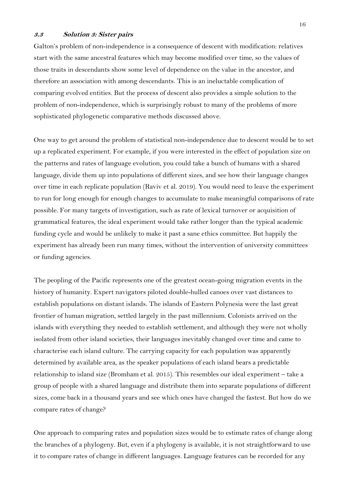## **3.3 Solution 3: Sister pairs**

Galton's problem of non-independence is a consequence of descent with modification: relatives start with the same ancestral features which may become modified over time, so the values of those traits in descendants show some level of dependence on the value in the ancestor, and therefore an association with among descendants. This is an ineluctable complication of comparing evolved entities. But the process of descent also provides a simple solution to the problem of non-independence, which is surprisingly robust to many of the problems of more sophisticated phylogenetic comparative methods discussed above.

One way to get around the problem of statistical non-independence due to descent would be to set up a replicated experiment. For example, if you were interested in the effect of population size on the patterns and rates of language evolution, you could take a bunch of humans with a shared language, divide them up into populations of different sizes, and see how their language changes over time in each replicate population (Raviv et al. 2019). You would need to leave the experiment to run for long enough for enough changes to accumulate to make meaningful comparisons of rate possible. For many targets of investigation, such as rate of lexical turnover or acquisition of grammatical features, the ideal experiment would take rather longer than the typical academic funding cycle and would be unlikely to make it past a sane ethics committee. But happily the experiment has already been run many times, without the intervention of university committees or funding agencies.

The peopling of the Pacific represents one of the greatest ocean-going migration events in the history of humanity. Expert navigators piloted double-hulled canoes over vast distances to establish populations on distant islands. The islands of Eastern Polynesia were the last great frontier of human migration, settled largely in the past millennium. Colonists arrived on the islands with everything they needed to establish settlement, and although they were not wholly isolated from other island societies, their languages inevitably changed over time and came to characterise each island culture. The carrying capacity for each population was apparently determined by available area, as the speaker populations of each island bears a predictable relationship to island size (Bromham et al. 2015). This resembles our ideal experiment – take a group of people with a shared language and distribute them into separate populations of different sizes, come back in a thousand years and see which ones have changed the fastest. But how do we compare rates of change?

One approach to comparing rates and population sizes would be to estimate rates of change along the branches of a phylogeny. But, even if a phylogeny is available, it is not straightforward to use it to compare rates of change in different languages. Language features can be recorded for any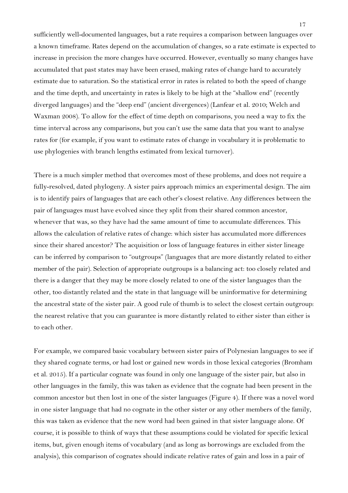sufficiently well-documented languages, but a rate requires a comparison between languages over a known timeframe. Rates depend on the accumulation of changes, so a rate estimate is expected to increase in precision the more changes have occurred. However, eventually so many changes have accumulated that past states may have been erased, making rates of change hard to accurately estimate due to saturation. So the statistical error in rates is related to both the speed of change and the time depth, and uncertainty in rates is likely to be high at the "shallow end" (recently diverged languages) and the "deep end" (ancient divergences) (Lanfear et al. 2010; Welch and Waxman 2008). To allow for the effect of time depth on comparisons, you need a way to fix the time interval across any comparisons, but you can't use the same data that you want to analyse rates for (for example, if you want to estimate rates of change in vocabulary it is problematic to use phylogenies with branch lengths estimated from lexical turnover).

There is a much simpler method that overcomes most of these problems, and does not require a fully-resolved, dated phylogeny. A sister pairs approach mimics an experimental design. The aim is to identify pairs of languages that are each other's closest relative. Any differences between the pair of languages must have evolved since they split from their shared common ancestor, whenever that was, so they have had the same amount of time to accumulate differences. This allows the calculation of relative rates of change: which sister has accumulated more differences since their shared ancestor? The acquisition or loss of language features in either sister lineage can be inferred by comparison to "outgroups" (languages that are more distantly related to either member of the pair). Selection of appropriate outgroups is a balancing act: too closely related and there is a danger that they may be more closely related to one of the sister languages than the other, too distantly related and the state in that language will be uninformative for determining the ancestral state of the sister pair. A good rule of thumb is to select the closest certain outgroup: the nearest relative that you can guarantee is more distantly related to either sister than either is to each other.

For example, we compared basic vocabulary between sister pairs of Polynesian languages to see if they shared cognate terms, or had lost or gained new words in those lexical categories (Bromham et al. 2015). If a particular cognate was found in only one language of the sister pair, but also in other languages in the family, this was taken as evidence that the cognate had been present in the common ancestor but then lost in one of the sister languages (Figure 4). If there was a novel word in one sister language that had no cognate in the other sister or any other members of the family, this was taken as evidence that the new word had been gained in that sister language alone. Of course, it is possible to think of ways that these assumptions could be violated for specific lexical items, but, given enough items of vocabulary (and as long as borrowings are excluded from the analysis), this comparison of cognates should indicate relative rates of gain and loss in a pair of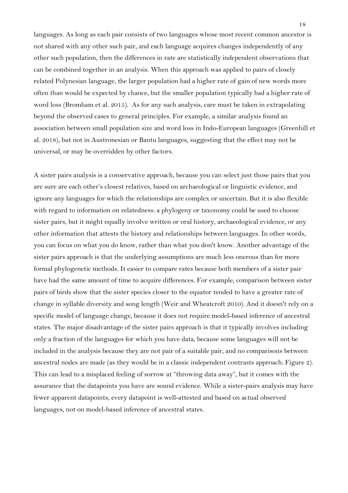languages. As long as each pair consists of two languages whose most recent common ancestor is not shared with any other such pair, and each language acquires changes independently of any other such population, then the differences in rate are statistically independent observations that can be combined together in an analysis. When this approach was applied to pairs of closely related Polynesian language, the larger population had a higher rate of gain of new words more often than would be expected by chance, but the smaller population typically had a higher rate of word loss (Bromham et al. 2015). As for any such analysis, care must be taken in extrapolating beyond the observed cases to general principles. For example, a similar analysis found an association between small population size and word loss in Indo-European languages (Greenhill et al. 2018), but not in Austronesian or Bantu languages, suggesting that the effect may not be universal, or may be overridden by other factors.

A sister pairs analysis is a conservative approach, because you can select just those pairs that you are sure are each other's closest relatives, based on archaeological or linguistic evidence, and ignore any languages for which the relationships are complex or uncertain. But it is also flexible with regard to information on relatedness: a phylogeny or taxonomy could be used to choose sister pairs, but it might equally involve written or oral history, archaeological evidence, or any other information that attests the history and relationships between languages. In other words, you can focus on what you do know, rather than what you don't know. Another advantage of the sister pairs approach is that the underlying assumptions are much less onerous than for more formal phylogenetic methods. It easier to compare rates because both members of a sister pair have had the same amount of time to acquire differences. For example, comparison between sister pairs of birds show that the sister species closer to the equator tended to have a greater rate of change in syllable diversity and song length (Weir and Wheatcroft 2010). And it doesn't rely on a specific model of language change, because it does not require model-based inference of ancestral states. The major disadvantage of the sister pairs approach is that it typically involves including only a fraction of the languages for which you have data, because some languages will not be included in the analysis because they are not pair of a suitable pair, and no comparisons between ancestral nodes are made (as they would be in a classic independent contrasts approach: Figure 2). This can lead to a misplaced feeling of sorrow at "throwing data away", but it comes with the assurance that the datapoints you have are sound evidence. While a sister-pairs analysis may have fewer apparent datapoints, every datapoint is well-attested and based on actual observed languages, not on model-based inference of ancestral states.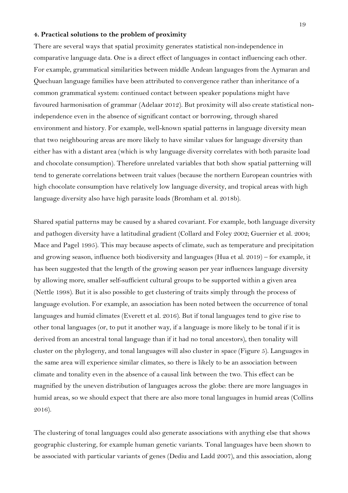#### **4. Practical solutions to the problem of proximity**

There are several ways that spatial proximity generates statistical non-independence in comparative language data. One is a direct effect of languages in contact influencing each other. For example, grammatical similarities between middle Andean languages from the Aymaran and Quechuan language families have been attributed to convergence rather than inheritance of a common grammatical system: continued contact between speaker populations might have favoured harmonisation of grammar (Adelaar 2012). But proximity will also create statistical nonindependence even in the absence of significant contact or borrowing, through shared environment and history. For example, well-known spatial patterns in language diversity mean that two neighbouring areas are more likely to have similar values for language diversity than either has with a distant area (which is why language diversity correlates with both parasite load and chocolate consumption). Therefore unrelated variables that both show spatial patterning will tend to generate correlations between trait values (because the northern European countries with high chocolate consumption have relatively low language diversity, and tropical areas with high language diversity also have high parasite loads (Bromham et al. 2018b).

Shared spatial patterns may be caused by a shared covariant. For example, both language diversity and pathogen diversity have a latitudinal gradient (Collard and Foley 2002; Guernier et al. 2004; Mace and Pagel 1995). This may because aspects of climate, such as temperature and precipitation and growing season, influence both biodiversity and languages (Hua et al. 2019) – for example, it has been suggested that the length of the growing season per year influences language diversity by allowing more, smaller self-sufficient cultural groups to be supported within a given area (Nettle 1998). But it is also possible to get clustering of traits simply through the process of language evolution. For example, an association has been noted between the occurrence of tonal languages and humid climates (Everett et al. 2016). But if tonal languages tend to give rise to other tonal languages (or, to put it another way, if a language is more likely to be tonal if it is derived from an ancestral tonal language than if it had no tonal ancestors), then tonality will cluster on the phylogeny, and tonal languages will also cluster in space (Figure 5). Languages in the same area will experience similar climates, so there is likely to be an association between climate and tonality even in the absence of a causal link between the two. This effect can be magnified by the uneven distribution of languages across the globe: there are more languages in humid areas, so we should expect that there are also more tonal languages in humid areas (Collins 2016).

The clustering of tonal languages could also generate associations with anything else that shows geographic clustering, for example human genetic variants. Tonal languages have been shown to be associated with particular variants of genes (Dediu and Ladd 2007), and this association, along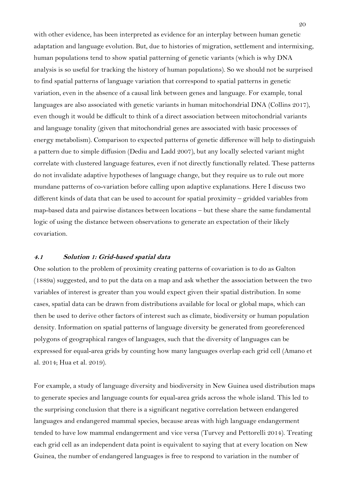with other evidence, has been interpreted as evidence for an interplay between human genetic adaptation and language evolution. But, due to histories of migration, settlement and intermixing, human populations tend to show spatial patterning of genetic variants (which is why DNA analysis is so useful for tracking the history of human populations). So we should not be surprised to find spatial patterns of language variation that correspond to spatial patterns in genetic variation, even in the absence of a causal link between genes and language. For example, tonal languages are also associated with genetic variants in human mitochondrial DNA (Collins 2017), even though it would be difficult to think of a direct association between mitochondrial variants and language tonality (given that mitochondrial genes are associated with basic processes of energy metabolism). Comparison to expected patterns of genetic difference will help to distinguish a pattern due to simple diffusion (Dediu and Ladd 2007), but any locally selected variant might correlate with clustered language features, even if not directly functionally related. These patterns do not invalidate adaptive hypotheses of language change, but they require us to rule out more mundane patterns of co-variation before calling upon adaptive explanations. Here I discuss two different kinds of data that can be used to account for spatial proximity – gridded variables from map-based data and pairwise distances between locations – but these share the same fundamental logic of using the distance between observations to generate an expectation of their likely covariation.

## **4.1 Solution 1: Grid-based spatial data**

One solution to the problem of proximity creating patterns of covariation is to do as Galton (1889a) suggested, and to put the data on a map and ask whether the association between the two variables of interest is greater than you would expect given their spatial distribution. In some cases, spatial data can be drawn from distributions available for local or global maps, which can then be used to derive other factors of interest such as climate, biodiversity or human population density. Information on spatial patterns of language diversity be generated from georeferenced polygons of geographical ranges of languages, such that the diversity of languages can be expressed for equal-area grids by counting how many languages overlap each grid cell (Amano et al. 2014; Hua et al. 2019).

For example, a study of language diversity and biodiversity in New Guinea used distribution maps to generate species and language counts for equal-area grids across the whole island. This led to the surprising conclusion that there is a significant negative correlation between endangered languages and endangered mammal species, because areas with high language endangerment tended to have low mammal endangerment and vice versa (Turvey and Pettorelli 2014). Treating each grid cell as an independent data point is equivalent to saying that at every location on New Guinea, the number of endangered languages is free to respond to variation in the number of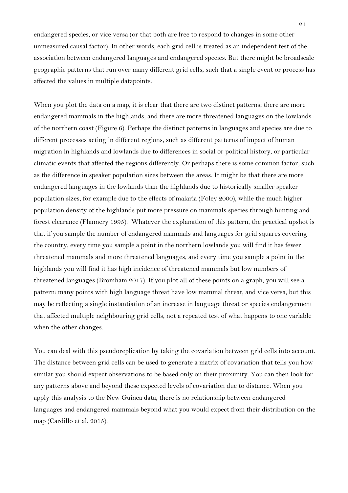endangered species, or vice versa (or that both are free to respond to changes in some other unmeasured causal factor). In other words, each grid cell is treated as an independent test of the association between endangered languages and endangered species. But there might be broadscale geographic patterns that run over many different grid cells, such that a single event or process has affected the values in multiple datapoints.

When you plot the data on a map, it is clear that there are two distinct patterns; there are more endangered mammals in the highlands, and there are more threatened languages on the lowlands of the northern coast (Figure 6). Perhaps the distinct patterns in languages and species are due to different processes acting in different regions, such as different patterns of impact of human migration in highlands and lowlands due to differences in social or political history, or particular climatic events that affected the regions differently. Or perhaps there is some common factor, such as the difference in speaker population sizes between the areas. It might be that there are more endangered languages in the lowlands than the highlands due to historically smaller speaker population sizes, for example due to the effects of malaria (Foley 2000), while the much higher population density of the highlands put more pressure on mammals species through hunting and forest clearance (Flannery 1995). Whatever the explanation of this pattern, the practical upshot is that if you sample the number of endangered mammals and languages for grid squares covering the country, every time you sample a point in the northern lowlands you will find it has fewer threatened mammals and more threatened languages, and every time you sample a point in the highlands you will find it has high incidence of threatened mammals but low numbers of threatened languages (Bromham 2017). If you plot all of these points on a graph, you will see a pattern: many points with high language threat have low mammal threat, and vice versa, but this may be reflecting a single instantiation of an increase in language threat or species endangerment that affected multiple neighbouring grid cells, not a repeated test of what happens to one variable when the other changes.

You can deal with this pseudoreplication by taking the covariation between grid cells into account. The distance between grid cells can be used to generate a matrix of covariation that tells you how similar you should expect observations to be based only on their proximity. You can then look for any patterns above and beyond these expected levels of covariation due to distance. When you apply this analysis to the New Guinea data, there is no relationship between endangered languages and endangered mammals beyond what you would expect from their distribution on the map (Cardillo et al. 2015).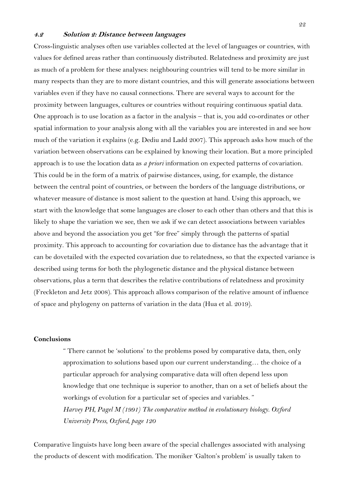## **4.2 Solution 2: Distance between languages**

Cross-linguistic analyses often use variables collected at the level of languages or countries, with values for defined areas rather than continuously distributed. Relatedness and proximity are just as much of a problem for these analyses: neighbouring countries will tend to be more similar in many respects than they are to more distant countries, and this will generate associations between variables even if they have no causal connections. There are several ways to account for the proximity between languages, cultures or countries without requiring continuous spatial data. One approach is to use location as a factor in the analysis – that is, you add co-ordinates or other spatial information to your analysis along with all the variables you are interested in and see how much of the variation it explains (e.g. Dediu and Ladd 2007). This approach asks how much of the variation between observations can be explained by knowing their location. But a more principled approach is to use the location data as *a priori* information on expected patterns of covariation. This could be in the form of a matrix of pairwise distances, using, for example, the distance between the central point of countries, or between the borders of the language distributions, or whatever measure of distance is most salient to the question at hand. Using this approach, we start with the knowledge that some languages are closer to each other than others and that this is likely to shape the variation we see, then we ask if we can detect associations between variables above and beyond the association you get "for free" simply through the patterns of spatial proximity. This approach to accounting for covariation due to distance has the advantage that it can be dovetailed with the expected covariation due to relatedness, so that the expected variance is described using terms for both the phylogenetic distance and the physical distance between observations, plus a term that describes the relative contributions of relatedness and proximity (Freckleton and Jetz 2008). This approach allows comparison of the relative amount of influence of space and phylogeny on patterns of variation in the data (Hua et al. 2019).

## **Conclusions**

" There cannot be 'solutions' to the problems posed by comparative data, then, only approximation to solutions based upon our current understanding… the choice of a particular approach for analysing comparative data will often depend less upon knowledge that one technique is superior to another, than on a set of beliefs about the workings of evolution for a particular set of species and variables. " *Harvey PH, Pagel M (1991) The comparative method in evolutionary biology. Oxford University Press, Oxford, page 120*

Comparative linguists have long been aware of the special challenges associated with analysing the products of descent with modification. The moniker 'Galton's problem' is usually taken to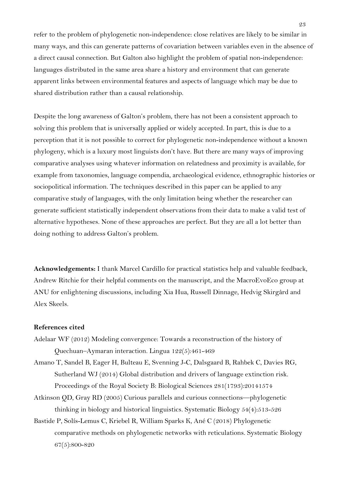refer to the problem of phylogenetic non-independence: close relatives are likely to be similar in many ways, and this can generate patterns of covariation between variables even in the absence of a direct causal connection. But Galton also highlight the problem of spatial non-independence: languages distributed in the same area share a history and environment that can generate apparent links between environmental features and aspects of language which may be due to shared distribution rather than a causal relationship.

Despite the long awareness of Galton's problem, there has not been a consistent approach to solving this problem that is universally applied or widely accepted. In part, this is due to a perception that it is not possible to correct for phylogenetic non-independence without a known phylogeny, which is a luxury most linguists don't have. But there are many ways of improving comparative analyses using whatever information on relatedness and proximity is available, for example from taxonomies, language compendia, archaeological evidence, ethnographic histories or sociopolitical information. The techniques described in this paper can be applied to any comparative study of languages, with the only limitation being whether the researcher can generate sufficient statistically independent observations from their data to make a valid test of alternative hypotheses. None of these approaches are perfect. But they are all a lot better than doing nothing to address Galton's problem.

**Acknowledgements:** I thank Marcel Cardillo for practical statistics help and valuable feedback, Andrew Ritchie for their helpful comments on the manuscript, and the MacroEvoEco group at ANU for enlightening discussions, including Xia Hua, Russell Dinnage, Hedvig Skirgård and Alex Skeels.

# **References cited**

- Adelaar WF (2012) Modeling convergence: Towards a reconstruction of the history of Quechuan–Aymaran interaction. Lingua 122(5):461-469
- Amano T, Sandel B, Eager H, Bulteau E, Svenning J-C, Dalsgaard B, Rahbek C, Davies RG, Sutherland WJ (2014) Global distribution and drivers of language extinction risk. Proceedings of the Royal Society B: Biological Sciences 281(1793):20141574
- Atkinson QD, Gray RD (2005) Curious parallels and curious connections—phylogenetic thinking in biology and historical linguistics. Systematic Biology 54(4):513-526
- Bastide P, Solís-Lemus C, Kriebel R, William Sparks K, Ané C (2018) Phylogenetic comparative methods on phylogenetic networks with reticulations. Systematic Biology 67(5):800-820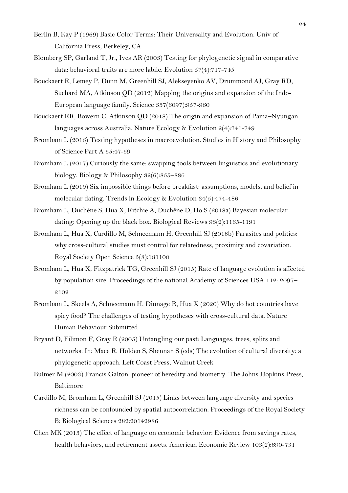- Berlin B, Kay P (1969) Basic Color Terms: Their Universality and Evolution. Univ of California Press, Berkeley, CA
- Blomberg SP, Garland T, Jr., Ives AR (2003) Testing for phylogenetic signal in comparative data: behavioral traits are more labile. Evolution 57(4):717-745
- Bouckaert R, Lemey P, Dunn M, Greenhill SJ, Alekseyenko AV, Drummond AJ, Gray RD, Suchard MA, Atkinson QD (2012) Mapping the origins and expansion of the Indo-European language family. Science 337(6097):957-960
- Bouckaert RR, Bowern C, Atkinson QD (2018) The origin and expansion of Pama–Nyungan languages across Australia. Nature Ecology & Evolution 2(4):741-749
- Bromham L (2016) Testing hypotheses in macroevolution. Studies in History and Philosophy of Science Part A 55:47-59
- Bromham L (2017) Curiously the same: swapping tools between linguistics and evolutionary biology. Biology & Philosophy 32(6):855–886
- Bromham L (2019) Six impossible things before breakfast: assumptions, models, and belief in molecular dating. Trends in Ecology & Evolution 34(5):474-486
- Bromham L, Duchêne S, Hua X, Ritchie A, Duchêne D, Ho S (2018a) Bayesian molecular dating: Opening up the black box. Biological Reviews 93(2):1165-1191
- Bromham L, Hua X, Cardillo M, Schneemann H, Greenhill SJ (2018b) Parasites and politics: why cross-cultural studies must control for relatedness, proximity and covariation. Royal Society Open Science 5(8):181100
- Bromham L, Hua X, Fitzpatrick TG, Greenhill SJ (2015) Rate of language evolution is affected by population size. Proceedings of the national Academy of Sciences USA 112: 2097– 2102
- Bromham L, Skeels A, Schneemann H, Dinnage R, Hua X (2020) Why do hot countries have spicy food? The challenges of testing hypotheses with cross-cultural data. Nature Human Behaviour Submitted
- Bryant D, Filimon F, Gray R (2005) Untangling our past: Languages, trees, splits and networks. In: Mace R, Holden S, Shennan S (eds) The evolution of cultural diversity: a phylogenetic approach. Left Coast Press, Walnut Creek
- Bulmer M (2003) Francis Galton: pioneer of heredity and biometry. The Johns Hopkins Press, Baltimore
- Cardillo M, Bromham L, Greenhill SJ (2015) Links between language diversity and species richness can be confounded by spatial autocorrelation. Proceedings of the Royal Society B: Biological Sciences 282:20142986
- Chen MK (2013) The effect of language on economic behavior: Evidence from savings rates, health behaviors, and retirement assets. American Economic Review 103(2):690-731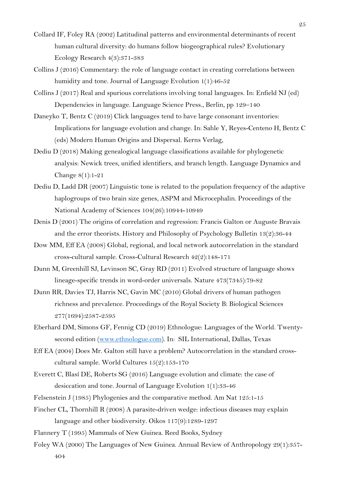- Collard IF, Foley RA (2002) Latitudinal patterns and environmental determinants of recent human cultural diversity: do humans follow biogeographical rules? Evolutionary Ecology Research 4(3):371-383
- Collins J (2016) Commentary: the role of language contact in creating correlations between humidity and tone. Journal of Language Evolution 1(1):46-52
- Collins J (2017) Real and spurious correlations involving tonal languages. In: Enfield NJ (ed) Dependencies in language. Language Science Press., Berlin, pp 129–140
- Daneyko T, Bentz C (2019) Click languages tend to have large consonant inventories: Implications for language evolution and change. In: Sahle Y, Reyes-Centeno H, Bentz C (eds) Modern Human Origins and Dispersal. Kerns Verlag,
- Dediu D (2018) Making genealogical language classifications available for phylogenetic analysis: Newick trees, unified identifiers, and branch length. Language Dynamics and Change 8(1):1-21
- Dediu D, Ladd DR (2007) Linguistic tone is related to the population frequency of the adaptive haplogroups of two brain size genes, ASPM and Microcephalin. Proceedings of the National Academy of Sciences 104(26):10944-10949
- Denis D (2001) The origins of correlation and regression: Francis Galton or Auguste Bravais and the error theorists. History and Philosophy of Psychology Bulletin 13(2):36-44
- Dow MM, Eff EA (2008) Global, regional, and local network autocorrelation in the standard cross-cultural sample. Cross-Cultural Research 42(2):148-171
- Dunn M, Greenhill SJ, Levinson SC, Gray RD (2011) Evolved structure of language shows lineage-specific trends in word-order universals. Nature 473(7345):79-82
- Dunn RR, Davies TJ, Harris NC, Gavin MC (2010) Global drivers of human pathogen richness and prevalence. Proceedings of the Royal Society B: Biological Sciences 277(1694):2587-2595
- Eberhard DM, Simons GF, Fennig CD (2019) Ethnologue: Languages of the World. Twentysecond edition (www.ethnologue.com). In: SIL International, Dallas, Texas
- Eff EA (2004) Does Mr. Galton still have a problem? Autocorrelation in the standard crosscultural sample. World Cultures 15(2):153-170
- Everett C, Blasí DE, Roberts SG (2016) Language evolution and climate: the case of desiccation and tone. Journal of Language Evolution 1(1):33-46
- Felsenstein J (1985) Phylogenies and the comparative method. Am Nat 125:1-15
- Fincher CL, Thornhill R (2008) A parasite-driven wedge: infectious diseases may explain language and other biodiversity. Oikos 117(9):1289-1297
- Flannery T (1995) Mammals of New Guinea. Reed Books, Sydney
- Foley WA (2000) The Languages of New Guinea. Annual Review of Anthropology 29(1):357- 404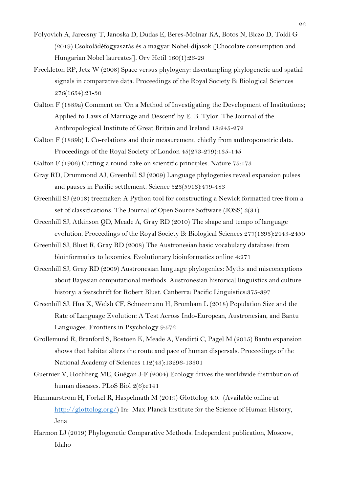- Folyovich A, Jarecsny T, Janoska D, Dudas E, Beres-Molnar KA, Botos N, Biczo D, Toldi G (2019) Csokoládéfogyasztás és a magyar Nobel-díjasok [Chocolate consumption and Hungarian Nobel laureates]. Orv Hetil 160(1):26-29
- Freckleton RP, Jetz W (2008) Space versus phylogeny: disentangling phylogenetic and spatial signals in comparative data. Proceedings of the Royal Society B: Biological Sciences 276(1654):21-30
- Galton F (1889a) Comment on 'On a Method of Investigating the Development of Institutions; Applied to Laws of Marriage and Descent' by E. B. Tylor. The Journal of the Anthropological Institute of Great Britain and Ireland 18:245-272
- Galton F (1889b) I. Co-relations and their measurement, chiefly from anthropometric data. Proceedings of the Royal Society of London 45(273-279):135-145
- Galton F (1906) Cutting a round cake on scientific principles. Nature 75:173
- Gray RD, Drummond AJ, Greenhill SJ (2009) Language phylogenies reveal expansion pulses and pauses in Pacific settlement. Science 323(5913):479-483
- Greenhill SJ (2018) treemaker: A Python tool for constructing a Newick formatted tree from a set of classifications. The Journal of Open Source Software (JOSS) 3(31)
- Greenhill SJ, Atkinson QD, Meade A, Gray RD (2010) The shape and tempo of language evolution. Proceedings of the Royal Society B: Biological Sciences 277(1693):2443-2450
- Greenhill SJ, Blust R, Gray RD (2008) The Austronesian basic vocabulary database: from bioinformatics to lexomics. Evolutionary bioinformatics online 4:271
- Greenhill SJ, Gray RD (2009) Austronesian language phylogenies: Myths and misconceptions about Bayesian computational methods. Austronesian historical linguistics and culture history: a festschrift for Robert Blust. Canberra: Pacific Linguistics:375-397
- Greenhill SJ, Hua X, Welsh CF, Schneemann H, Bromham L (2018) Population Size and the Rate of Language Evolution: A Test Across Indo-European, Austronesian, and Bantu Languages. Frontiers in Psychology 9:576
- Grollemund R, Branford S, Bostoen K, Meade A, Venditti C, Pagel M (2015) Bantu expansion shows that habitat alters the route and pace of human dispersals. Proceedings of the National Academy of Sciences 112(43):13296-13301
- Guernier V, Hochberg ME, Guégan J-F (2004) Ecology drives the worldwide distribution of human diseases. PLoS Biol 2(6):e141
- Hammarström H, Forkel R, Haspelmath M (2019) Glottolog 4.0. (Available online at http://glottolog.org/) In: Max Planck Institute for the Science of Human History, Jena
- Harmon LJ (2019) Phylogenetic Comparative Methods. Independent publication, Moscow, Idaho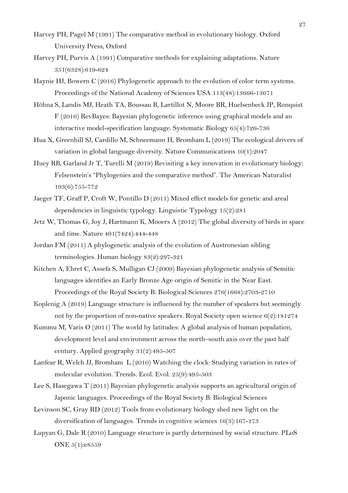- Harvey PH, Pagel M (1991) The comparative method in evolutionary biology. Oxford University Press, Oxford
- Harvey PH, Purvis A (1991) Comparative methods for explaining adaptations. Nature 351(6328):619-624
- Haynie HJ, Bowern C (2016) Phylogenetic approach to the evolution of color term systems. Proceedings of the National Academy of Sciences USA 113(48):13666-13671
- Höhna S, Landis MJ, Heath TA, Boussau B, Lartillot N, Moore BR, Huelsenbeck JP, Ronquist F (2016) RevBayes: Bayesian phylogenetic inference using graphical models and an interactive model-specification language. Systematic Biology 65(4):726-736
- Hua X, Greenhill SJ, Cardillo M, Schneemann H, Bromham L (2019) The ecological drivers of variation in global language diversity. Nature Communications 10(1):2047
- Huey RB, Garland Jr T, Turelli M (2019) Revisiting a key innovation in evolutionary biology: Felsenstein's "Phylogenies and the comparative method". The American Naturalist 193(6):755-772
- Jaeger TF, Graff P, Croft W, Pontillo D (2011) Mixed effect models for genetic and areal dependencies in linguistic typology. Linguistic Typology 15(2):281
- Jetz W, Thomas G, Joy J, Hartmann K, Mooers A (2012) The global diversity of birds in space and time. Nature 491(7424):444-448
- Jordan FM (2011) A phylogenetic analysis of the evolution of Austronesian sibling terminologies. Human biology 83(2):297-321
- Kitchen A, Ehret C, Assefa S, Mulligan CJ (2009) Bayesian phylogenetic analysis of Semitic languages identifies an Early Bronze Age origin of Semitic in the Near East. Proceedings of the Royal Society B: Biological Sciences 276(1668):2703-2710
- Koplenig A (2019) Language structure is influenced by the number of speakers but seemingly not by the proportion of non-native speakers. Royal Society open science 6(2):181274
- Kummu M, Varis O (2011) The world by latitudes: A global analysis of human population, development level and environment across the north–south axis over the past half century. Applied geography 31(2):495-507
- Lanfear R, Welch JJ, Bromham L (2010) Watching the clock: Studying variation in rates of molecular evolution. Trends. Ecol. Evol. 25(9):495-503
- Lee S, Hasegawa T (2011) Bayesian phylogenetic analysis supports an agricultural origin of Japonic languages. Proceedings of the Royal Society B: Biological Sciences
- Levinson SC, Gray RD (2012) Tools from evolutionary biology shed new light on the diversification of languages. Trends in cognitive sciences 16(3):167-173
- Lupyan G, Dale R (2010) Language structure is partly determined by social structure. PLoS ONE 5(1):e8559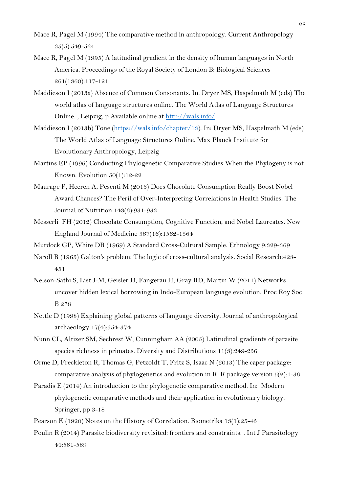- Mace R, Pagel M (1994) The comparative method in anthropology. Current Anthropology 35(5):549-564
- Mace R, Pagel M (1995) A latitudinal gradient in the density of human languages in North America. Proceedings of the Royal Society of London B: Biological Sciences 261(1360):117-121
- Maddieson I (2013a) Absence of Common Consonants. In: Dryer MS, Haspelmath M (eds) The world atlas of language structures online. The World Atlas of Language Structures Online. , Leipzig, p Available online at http://wals.info/
- Maddieson I (2013b) Tone (https://wals.info/chapter/13). In: Dryer MS, Haspelmath M (eds) The World Atlas of Language Structures Online. Max Planck Institute for Evolutionary Anthropology, Leipzig
- Martins EP (1996) Conducting Phylogenetic Comparative Studies When the Phylogeny is not Known. Evolution 50(1):12-22
- Maurage P, Heeren A, Pesenti M (2013) Does Chocolate Consumption Really Boost Nobel Award Chances? The Peril of Over-Interpreting Correlations in Health Studies. The Journal of Nutrition 143(6):931-933
- Messerli FH (2012) Chocolate Consumption, Cognitive Function, and Nobel Laureates. New England Journal of Medicine 367(16):1562-1564

Murdock GP, White DR (1969) A Standard Cross-Cultural Sample. Ethnology 9:329-369

- Naroll R (1965) Galton's problem: The logic of cross-cultural analysis. Social Research:428- 451
- Nelson-Sathi S, List J-M, Geisler H, Fangerau H, Gray RD, Martin W (2011) Networks uncover hidden lexical borrowing in Indo-European language evolution. Proc Roy Soc B 278
- Nettle D (1998) Explaining global patterns of language diversity. Journal of anthropological archaeology 17(4):354-374
- Nunn CL, Altizer SM, Sechrest W, Cunningham AA (2005) Latitudinal gradients of parasite species richness in primates. Diversity and Distributions 11(3):249-256
- Orme D, Freckleton R, Thomas G, Petzoldt T, Fritz S, Isaac N (2013) The caper package: comparative analysis of phylogenetics and evolution in R. R package version  $5(2)$ : 1-36
- Paradis E (2014) An introduction to the phylogenetic comparative method. In: Modern phylogenetic comparative methods and their application in evolutionary biology. Springer, pp 3-18
- Pearson K (1920) Notes on the History of Correlation. Biometrika 13(1):25-45
- Poulin R (2014) Parasite biodiversity revisited: frontiers and constraints. . Int J Parasitology 44:581-589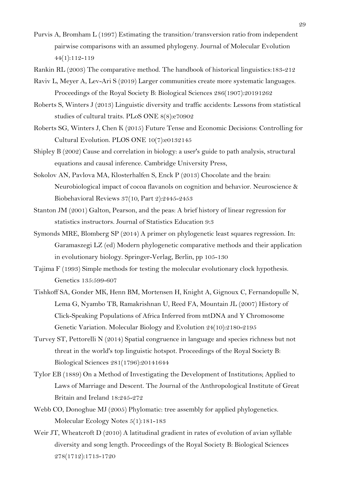- Purvis A, Bromham L (1997) Estimating the transition/transversion ratio from independent pairwise comparisons with an assumed phylogeny. Journal of Molecular Evolution 44(1):112-119
- Rankin RL (2003) The comparative method. The handbook of historical linguistics:183-212
- Raviv L, Meyer A, Lev-Ari S (2019) Larger communities create more systematic languages. Proceedings of the Royal Society B: Biological Sciences 286(1907):20191262
- Roberts S, Winters J (2013) Linguistic diversity and traffic accidents: Lessons from statistical studies of cultural traits. PLoS ONE 8(8):e70902
- Roberts SG, Winters J, Chen K (2015) Future Tense and Economic Decisions: Controlling for Cultural Evolution. PLOS ONE 10(7):e0132145
- Shipley B (2002) Cause and correlation in biology: a user's guide to path analysis, structural equations and causal inference. Cambridge University Press,
- Sokolov AN, Pavlova MA, Klosterhalfen S, Enck P (2013) Chocolate and the brain: Neurobiological impact of cocoa flavanols on cognition and behavior. Neuroscience & Biobehavioral Reviews 37(10, Part 2):2445-2453
- Stanton JM (2001) Galton, Pearson, and the peas: A brief history of linear regression for statistics instructors. Journal of Statistics Education 9:3
- Symonds MRE, Blomberg SP (2014) A primer on phylogenetic least squares regression. In: Garamaszegi LZ (ed) Modern phylogenetic comparative methods and their application in evolutionary biology. Springer-Verlag, Berlin, pp 105-130
- Tajima F (1993) Simple methods for testing the molecular evolutionary clock hypothesis. Genetics 135:599-607
- Tishkoff SA, Gonder MK, Henn BM, Mortensen H, Knight A, Gignoux C, Fernandopulle N, Lema G, Nyambo TB, Ramakrishnan U, Reed FA, Mountain JL (2007) History of Click-Speaking Populations of Africa Inferred from mtDNA and Y Chromosome Genetic Variation. Molecular Biology and Evolution 24(10):2180-2195
- Turvey ST, Pettorelli N (2014) Spatial congruence in language and species richness but not threat in the world's top linguistic hotspot. Proceedings of the Royal Society B: Biological Sciences 281(1796):20141644
- Tylor EB (1889) On a Method of Investigating the Development of Institutions; Applied to Laws of Marriage and Descent. The Journal of the Anthropological Institute of Great Britain and Ireland 18:245-272
- Webb CO, Donoghue MJ (2005) Phylomatic: tree assembly for applied phylogenetics. Molecular Ecology Notes 5(1):181-183
- Weir JT, Wheatcroft D (2010) A latitudinal gradient in rates of evolution of avian syllable diversity and song length. Proceedings of the Royal Society B: Biological Sciences 278(1712):1713-1720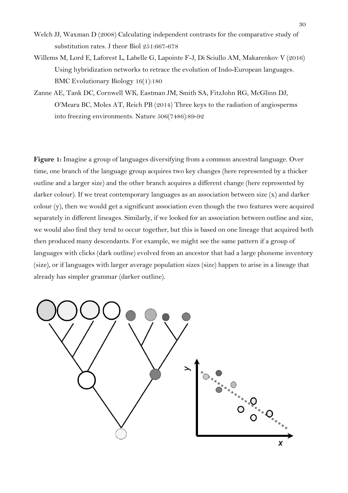- Welch JJ, Waxman D (2008) Calculating independent contrasts for the comparative study of substitution rates. J theor Biol 251:667-678
- Willems M, Lord E, Laforest L, Labelle G, Lapointe F-J, Di Sciullo AM, Makarenkov V (2016) Using hybridization networks to retrace the evolution of Indo-European languages. BMC Evolutionary Biology 16(1):180
- Zanne AE, Tank DC, Cornwell WK, Eastman JM, Smith SA, FitzJohn RG, McGlinn DJ, O'Meara BC, Moles AT, Reich PB (2014) Three keys to the radiation of angiosperms into freezing environments. Nature 506(7486):89-92

**Figure 1:** Imagine a group of languages diversifying from a common ancestral language. Over time, one branch of the language group acquires two key changes (here represented by a thicker outline and a larger size) and the other branch acquires a different change (here represented by darker colour). If we treat contemporary languages as an association between size (x) and darker colour (y), then we would get a significant association even though the two features were acquired separately in different lineages. Similarly, if we looked for an association between outline and size, we would also find they tend to occur together, but this is based on one lineage that acquired both then produced many descendants. For example, we might see the same pattern if a group of languages with clicks (dark outline) evolved from an ancestor that had a large phoneme inventory (size), or if languages with larger average population sizes (size) happen to arise in a lineage that already has simpler grammar (darker outline).

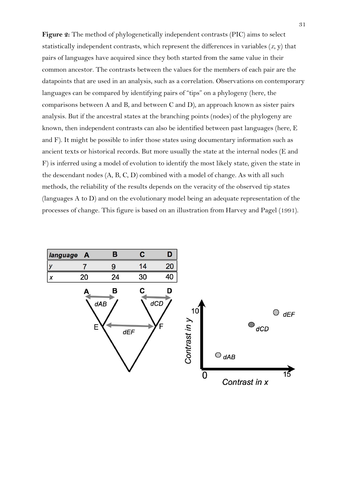**Figure 2:** The method of phylogenetically independent contrasts (PIC) aims to select statistically independent contrasts, which represent the differences in variables (*x,* y) that pairs of languages have acquired since they both started from the same value in their common ancestor. The contrasts between the values for the members of each pair are the datapoints that are used in an analysis, such as a correlation. Observations on contemporary languages can be compared by identifying pairs of "tips" on a phylogeny (here, the comparisons between A and B, and between C and D), an approach known as sister pairs analysis. But if the ancestral states at the branching points (nodes) of the phylogeny are known, then independent contrasts can also be identified between past languages (here, E and F). It might be possible to infer those states using documentary information such as ancient texts or historical records. But more usually the state at the internal nodes (E and F) is inferred using a model of evolution to identify the most likely state, given the state in the descendant nodes (A, B, C, D) combined with a model of change. As with all such methods, the reliability of the results depends on the veracity of the observed tip states (languages A to  $D$ ) and on the evolutionary model being an adequate representation of the processes of change. This figure is based on an illustration from Harvey and Pagel (1991).

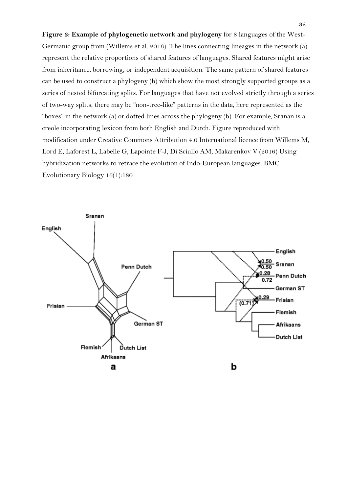**Figure 3: Example of phylogenetic network and phylogeny** for 8 languages of the West-Germanic group from (Willems et al. 2016). The lines connecting lineages in the network (a) represent the relative proportions of shared features of languages. Shared features might arise from inheritance, borrowing, or independent acquisition. The same pattern of shared features can be used to construct a phylogeny (b) which show the most strongly supported groups as a series of nested bifurcating splits. For languages that have not evolved strictly through a series of two-way splits, there may be "non-tree-like" patterns in the data, here represented as the "boxes" in the network (a) or dotted lines across the phylogeny (b). For example, Sranan is a creole incorporating lexicon from both English and Dutch. Figure reproduced with modification under Creative Commons Attribution 4.0 International licence from Willems M, Lord E, Laforest L, Labelle G, Lapointe F-J, Di Sciullo AM, Makarenkov V (2016) Using hybridization networks to retrace the evolution of Indo-European languages. BMC Evolutionary Biology 16(1):180

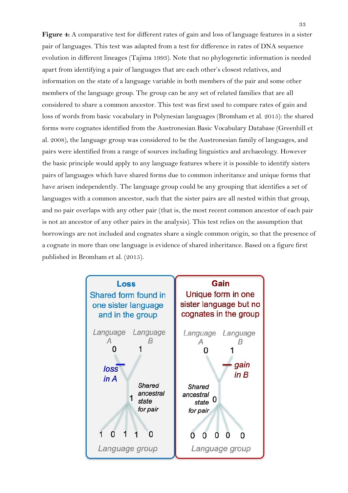**Figure 4:** A comparative test for different rates of gain and loss of language features in a sister pair of languages. This test was adapted from a test for difference in rates of DNA sequence evolution in different lineages (Tajima 1993). Note that no phylogenetic information is needed apart from identifying a pair of languages that are each other's closest relatives, and information on the state of a language variable in both members of the pair and some other members of the language group. The group can be any set of related families that are all considered to share a common ancestor. This test was first used to compare rates of gain and loss of words from basic vocabulary in Polynesian languages (Bromham et al. 2015): the shared forms were cognates identified from the Austronesian Basic Vocabulary Database (Greenhill et al. 2008), the language group was considered to be the Austronesian family of languages, and pairs were identified from a range of sources including linguistics and archaeology. However the basic principle would apply to any language features where it is possible to identify sisters pairs of languages which have shared forms due to common inheritance and unique forms that have arisen independently. The language group could be any grouping that identifies a set of languages with a common ancestor, such that the sister pairs are all nested within that group, and no pair overlaps with any other pair (that is, the most recent common ancestor of each pair is not an ancestor of any other pairs in the analysis). This test relies on the assumption that borrowings are not included and cognates share a single common origin, so that the presence of a cognate in more than one language is evidence of shared inheritance. Based on a figure first published in Bromham et al. (2015).

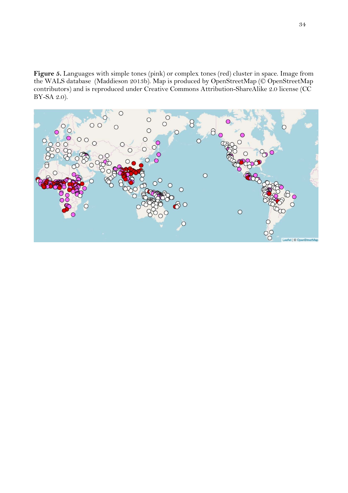**Figure 5.** Languages with simple tones (pink) or complex tones (red) cluster in space. Image from the WALS database (Maddieson 2013b). Map is produced by OpenStreetMap (© OpenStreetMap contributors) and is reproduced under Creative Commons Attribution-ShareAlike 2.0 license (CC BY-SA 2.0).